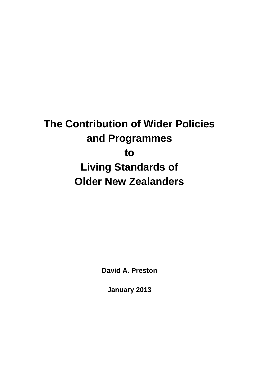# **The Contribution of Wider Policies and Programmes to Living Standards of Older New Zealanders**

**David A. Preston**

**January 2013**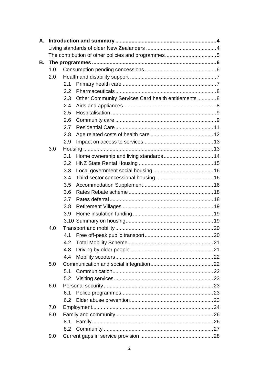| A. |     |     |                                                     |  |  |
|----|-----|-----|-----------------------------------------------------|--|--|
|    |     |     |                                                     |  |  |
|    |     |     |                                                     |  |  |
| В. |     |     |                                                     |  |  |
|    | 1.0 |     |                                                     |  |  |
|    | 2.0 |     |                                                     |  |  |
|    |     | 2.1 |                                                     |  |  |
|    |     | 2.2 |                                                     |  |  |
|    |     | 2.3 | Other Community Services Card health entitlements 8 |  |  |
|    |     | 2.4 |                                                     |  |  |
|    |     | 2.5 |                                                     |  |  |
|    |     | 2.6 |                                                     |  |  |
|    |     | 2.7 |                                                     |  |  |
|    |     | 2.8 |                                                     |  |  |
|    |     | 2.9 |                                                     |  |  |
|    | 3.0 |     |                                                     |  |  |
|    |     | 3.1 |                                                     |  |  |
|    |     | 3.2 |                                                     |  |  |
|    |     | 3.3 |                                                     |  |  |
|    |     | 3.4 |                                                     |  |  |
|    |     | 3.5 |                                                     |  |  |
|    |     | 3.6 |                                                     |  |  |
|    |     | 3.7 |                                                     |  |  |
|    |     | 3.8 |                                                     |  |  |
|    |     | 3.9 |                                                     |  |  |
|    |     |     |                                                     |  |  |
|    | 4.0 |     |                                                     |  |  |
|    |     | 4.1 |                                                     |  |  |
|    |     | 4.2 |                                                     |  |  |
|    |     | 4.3 |                                                     |  |  |
|    |     | 4.4 |                                                     |  |  |
|    | 5.0 |     |                                                     |  |  |
|    |     | 5.1 |                                                     |  |  |
|    |     | 5.2 |                                                     |  |  |
|    | 6.0 |     |                                                     |  |  |
|    |     | 6.1 |                                                     |  |  |
|    |     | 6.2 |                                                     |  |  |
|    | 7.0 |     |                                                     |  |  |
|    | 8.0 |     |                                                     |  |  |
|    |     | 8.1 |                                                     |  |  |
|    |     | 8.2 |                                                     |  |  |
|    | 9.0 |     |                                                     |  |  |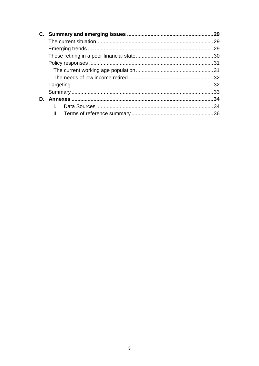| 29  |
|-----|
|     |
| .29 |
|     |
|     |
|     |
|     |
|     |
|     |
| 34  |
|     |
|     |
|     |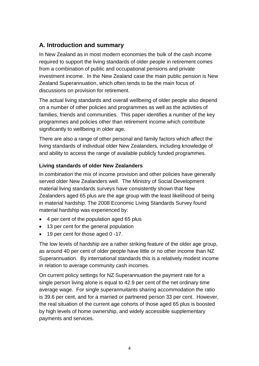# **A. Introduction and summary**

In New Zealand as in most modern economies the bulk of the cash income required to support the living standards of older people in retirement comes from a combination of public and occupational pensions and private investment income. In the New Zealand case the main public pension is New Zealand Superannuation, which often tends to be the main focus of discussions on provision for retirement.

The actual living standards and overall wellbeing of older people also depend on a number of other policies and programmes as well as the activities of families, friends and communities. This paper identifies a number of the key programmes and policies other than retirement income which contribute significantly to wellbeing in older age.

There are also a range of other personal and family factors which affect the living standards of individual older New Zealanders, including knowledge of and ability to access the range of available publicly funded programmes.

#### **Living standards of older New Zealanders**

In combination the mix of income provision and other policies have generally served older New Zealanders well. The Ministry of Social Development material living standards surveys have consistently shown that New Zealanders aged 65 plus are the age group with the least likelihood of being in material hardship. The 2008 Economic Living Standards Survey found material hardship was experienced by:

- 4 per cent of the population aged 65 plus
- 13 per cent for the general population
- 19 per cent for those aged 0 -17.

The low levels of hardship are a rather striking feature of the older age group, as around 40 per cent of older people have little or no other income than NZ Superannuation. By international standards this is a relatively modest income in relation to average community cash incomes.

On current policy settings for NZ Superannuation the payment rate for a single person living alone is equal to 42.9 per cent of the net ordinary time average wage. For single superannuitants sharing accommodation the ratio is 39.6 per cent, and for a married or partnered person 33 per cent. However, the real situation of the current age cohorts of those aged 65 plus is boosted by high levels of home ownership, and widely accessible supplementary payments and services.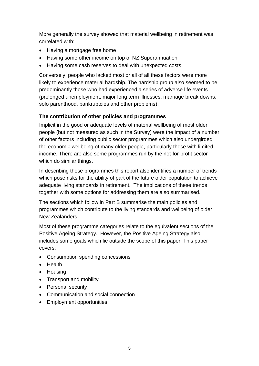More generally the survey showed that material wellbeing in retirement was correlated with:

- Having a mortgage free home
- Having some other income on top of NZ Superannuation
- Having some cash reserves to deal with unexpected costs.

Conversely, people who lacked most or all of all these factors were more likely to experience material hardship. The hardship group also seemed to be predominantly those who had experienced a series of adverse life events (prolonged unemployment, major long term illnesses, marriage break downs, solo parenthood, bankruptcies and other problems).

#### **The contribution of other policies and programmes**

Implicit in the good or adequate levels of material wellbeing of most older people (but not measured as such in the Survey) were the impact of a number of other factors including public sector programmes which also undergirded the economic wellbeing of many older people, particularly those with limited income. There are also some programmes run by the not-for-profit sector which do similar things.

In describing these programmes this report also identifies a number of trends which pose risks for the ability of part of the future older population to achieve adequate living standards in retirement. The implications of these trends together with some options for addressing them are also summarised.

The sections which follow in Part B summarise the main policies and programmes which contribute to the living standards and wellbeing of older New Zealanders.

Most of these programme categories relate to the equivalent sections of the Positive Ageing Strategy. However, the Positive Ageing Strategy also includes some goals which lie outside the scope of this paper. This paper covers:

- Consumption spending concessions
- Health
- Housing
- Transport and mobility
- Personal security
- Communication and social connection
- Employment opportunities.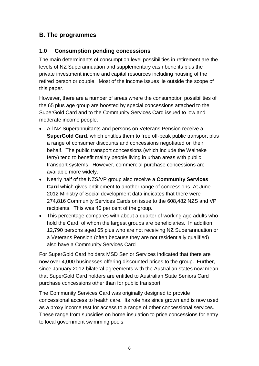# **B. The programmes**

## **1.0 Consumption pending concessions**

The main determinants of consumption level possibilities in retirement are the levels of NZ Superannuation and supplementary cash benefits plus the private investment income and capital resources including housing of the retired person or couple. Most of the income issues lie outside the scope of this paper.

However, there are a number of areas where the consumption possibilities of the 65 plus age group are boosted by special concessions attached to the SuperGold Card and to the Community Services Card issued to low and moderate income people.

- All NZ Superannuitants and persons on Veterans Pension receive a **SuperGold Card**, which entitles them to free off-peak public transport plus a range of consumer discounts and concessions negotiated on their behalf. The public transport concessions (which include the Waiheke ferry) tend to benefit mainly people living in urban areas with public transport systems. However, commercial purchase concessions are available more widely.
- Nearly half of the NZS/VP group also receive a **Community Services Card** which gives entitlement to another range of concessions. At June 2012 Ministry of Social development data indicates that there were 274,816 Community Services Cards on issue to the 608,482 NZS and VP recipients. This was 45 per cent of the group.
- This percentage compares with about a quarter of working age adults who hold the Card, of whom the largest groups are beneficiaries. In addition 12,790 persons aged 65 plus who are not receiving NZ Superannuation or a Veterans Pension (often because they are not residentially qualified) also have a Community Services Card

For SuperGold Card holders MSD Senior Services indicated that there are now over 4,000 businesses offering discounted prices to the group. Further, since January 2012 bilateral agreements with the Australian states now mean that SuperGold Card holders are entitled to Australian State Seniors Card purchase concessions other than for public transport.

The Community Services Card was originally designed to provide concessional access to health care. Its role has since grown and is now used as a proxy income test for access to a range of other concessional services. These range from subsidies on home insulation to price concessions for entry to local government swimming pools.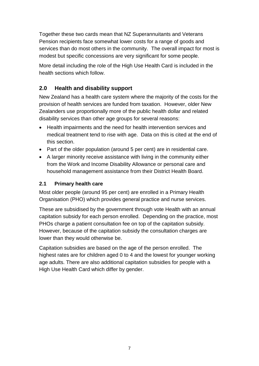Together these two cards mean that NZ Superannuitants and Veterans Pension recipients face somewhat lower costs for a range of goods and services than do most others in the community. The overall impact for most is modest but specific concessions are very significant for some people.

More detail including the role of the High Use Health Card is included in the health sections which follow.

# **2.0 Health and disability support**

New Zealand has a health care system where the majority of the costs for the provision of health services are funded from taxation. However, older New Zealanders use proportionally more of the public health dollar and related disability services than other age groups for several reasons:

- Health impairments and the need for health intervention services and medical treatment tend to rise with age. Data on this is cited at the end of this section.
- Part of the older population (around 5 per cent) are in residential care.
- A larger minority receive assistance with living in the community either from the Work and Income Disability Allowance or personal care and household management assistance from their District Health Board.

#### **2.1 Primary health care**

Most older people (around 95 per cent) are enrolled in a Primary Health Organisation (PHO) which provides general practice and nurse services.

These are subsidised by the government through vote Health with an annual capitation subsidy for each person enrolled. Depending on the practice, most PHOs charge a patient consultation fee on top of the capitation subsidy. However, because of the capitation subsidy the consultation charges are lower than they would otherwise be.

Capitation subsidies are based on the age of the person enrolled. The highest rates are for children aged 0 to 4 and the lowest for younger working age adults. There are also additional capitation subsidies for people with a High Use Health Card which differ by gender.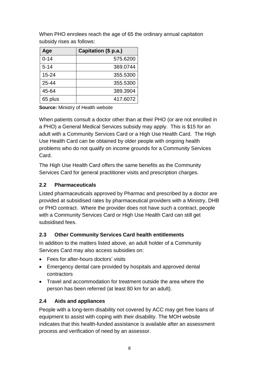| Age       | Capitation (\$ p.a.) |
|-----------|----------------------|
| $0 - 14$  | 575.6200             |
| $5 - 14$  | 369.0744             |
| $15 - 24$ | 355.5300             |
| 25-44     | 355,5300             |
| 45-64     | 389.3904             |
| 65 plus   | 417.6072             |

When PHO enrolees reach the age of 65 the ordinary annual capitation subsidy rises as follows:

**Source:** Ministry of Health website

When patients consult a doctor other than at their PHO (or are not enrolled in a PHO) a General Medical Services subsidy may apply. This is \$15 for an adult with a Community Services Card or a High Use Health Card. The High Use Health Card can be obtained by older people with ongoing health problems who do not qualify on income grounds for a Community Services Card.

The High Use Health Card offers the same benefits as the Community Services Card for general practitioner visits and prescription charges.

#### **2.2 Pharmaceuticals**

Listed pharmaceuticals approved by Pharmac and prescribed by a doctor are provided at subsidised rates by pharmaceutical providers with a Ministry, DHB or PHO contract. Where the provider does not have such a contract, people with a Community Services Card or High Use Health Card can still get subsidised fees.

#### **2.3 Other Community Services Card health entitlements**

In addition to the matters listed above, an adult holder of a Community Services Card may also access subsidies on:

- Fees for after-hours doctors' visits
- Emergency dental care provided by hospitals and approved dental contractors
- Travel and accommodation for treatment outside the area where the person has been referred (at least 80 km for an adult).

#### **2.4 Aids and appliances**

People with a long-term disability not covered by ACC may get free loans of equipment to assist with coping with their disability. The MOH website indicates that this health-funded assistance is available after an assessment process and verification of need by an assessor.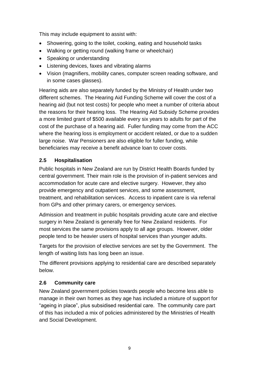This may include equipment to assist with:

- Showering, going to the toilet, cooking, eating and household tasks
- Walking or getting round (walking frame or wheelchair)
- Speaking or understanding
- Listening devices, faxes and vibrating alarms
- Vision (magnifiers, mobility canes, computer screen reading software, and in some cases glasses).

Hearing aids are also separately funded by the Ministry of Health under two different schemes. The Hearing Aid Funding Scheme will cover the cost of a hearing aid (but not test costs) for people who meet a number of criteria about the reasons for their hearing loss. The Hearing Aid Subsidy Scheme provides a more limited grant of \$500 available every six years to adults for part of the cost of the purchase of a hearing aid. Fuller funding may come from the ACC where the hearing loss is employment or accident related, or due to a sudden large noise. War Pensioners are also eligible for fuller funding, while beneficiaries may receive a benefit advance loan to cover costs.

## **2.5 Hospitalisation**

Public hospitals in New Zealand are run by District Health Boards funded by central government. Their main role is the provision of in-patient services and accommodation for acute care and elective surgery. However, they also provide emergency and outpatient services, and some assessment, treatment, and rehabilitation services. Access to inpatient care is via referral from GPs and other primary carers, or emergency services.

Admission and treatment in public hospitals providing acute care and elective surgery in New Zealand is generally free for New Zealand residents. For most services the same provisions apply to all age groups. However, older people tend to be heavier users of hospital services than younger adults.

Targets for the provision of elective services are set by the Government. The length of waiting lists has long been an issue.

The different provisions applying to residential care are described separately below.

#### **2.6 Community care**

New Zealand government policies towards people who become less able to manage in their own homes as they age has included a mixture of support for "ageing in place", plus subsidised residential care. The community care part of this has included a mix of policies administered by the Ministries of Health and Social Development.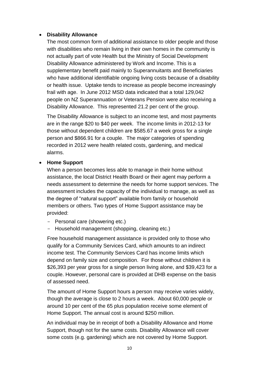#### **Disability Allowance**

The most common form of additional assistance to older people and those with disabilities who remain living in their own homes in the community is not actually part of vote Health but the Ministry of Social Development Disability Allowance administered by Work and Income. This is a supplementary benefit paid mainly to Superannuitants and Beneficiaries who have additional identifiable ongoing living costs because of a disability or health issue. Uptake tends to increase as people become increasingly frail with age. In June 2012 MSD data indicated that a total 129,042 people on NZ Superannuation or Veterans Pension were also receiving a Disability Allowance. This represented 21.2 per cent of the group.

The Disability Allowance is subject to an income test, and most payments are in the range \$20 to \$40 per week. The income limits in 2012-13 for those without dependent children are \$585.67 a week gross for a single person and \$866.91 for a couple. The major categories of spending recorded in 2012 were health related costs, gardening, and medical alarms.

#### **Home Support**

When a person becomes less able to manage in their home without assistance, the local District Health Board or their agent may perform a needs assessment to determine the needs for home support services. The assessment includes the capacity of the individual to manage, as well as the degree of "natural support" available from family or household members or others. Two types of Home Support assistance may be provided:

- Personal care (showering etc.)
- Household management (shopping, cleaning etc.)

Free household management assistance is provided only to those who qualify for a Community Services Card, which amounts to an indirect income test. The Community Services Card has income limits which depend on family size and composition. For those without children it is \$26,393 per year gross for a single person living alone, and \$39,423 for a couple. However, personal care is provided at DHB expense on the basis of assessed need.

The amount of Home Support hours a person may receive varies widely, though the average is close to 2 hours a week. About 60,000 people or around 10 per cent of the 65 plus population receive some element of Home Support. The annual cost is around \$250 million.

An individual may be in receipt of both a Disability Allowance and Home Support, though not for the same costs. Disability Allowance will cover some costs (e.g. gardening) which are not covered by Home Support.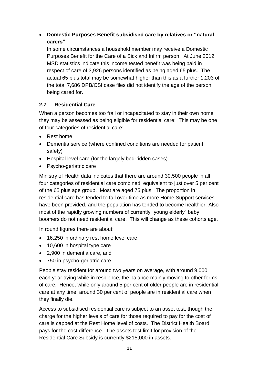## **Domestic Purposes Benefit subsidised care by relatives or "natural carers"**

In some circumstances a household member may receive a Domestic Purposes Benefit for the Care of a Sick and Infirm person. At June 2012 MSD statistics indicate this income tested benefit was being paid in respect of care of 3,926 persons identified as being aged 65 plus. The actual 65 plus total may be somewhat higher than this as a further 1,203 of the total 7,686 DPB/CSI case files did not identify the age of the person being cared for.

## **2.7 Residential Care**

When a person becomes too frail or incapacitated to stay in their own home they may be assessed as being eligible for residential care: This may be one of four categories of residential care:

- Rest home
- Dementia service (where confined conditions are needed for patient safety)
- Hospital level care (for the largely bed-ridden cases)
- Psycho-geriatric care

Ministry of Health data indicates that there are around 30,500 people in all four categories of residential care combined, equivalent to just over 5 per cent of the 65 plus age group. Most are aged 75 plus. The proportion in residential care has tended to fall over time as more Home Support services have been provided, and the population has tended to become healthier. Also most of the rapidly growing numbers of currently "young elderly" baby boomers do not need residential care. This will change as these cohorts age.

In round figures there are about:

- 16,250 in ordinary rest home level care
- 10,600 in hospital type care
- 2,900 in dementia care, and
- 750 in psycho-geriatric care

People stay resident for around two years on average, with around 9,000 each year dying while in residence, the balance mainly moving to other forms of care. Hence, while only around 5 per cent of older people are in residential care at any time, around 30 per cent of people are in residential care when they finally die.

Access to subsidised residential care is subject to an asset test, though the charge for the higher levels of care for those required to pay for the cost of care is capped at the Rest Home level of costs. The District Health Board pays for the cost difference. The assets test limit for provision of the Residential Care Subsidy is currently \$215,000 in assets.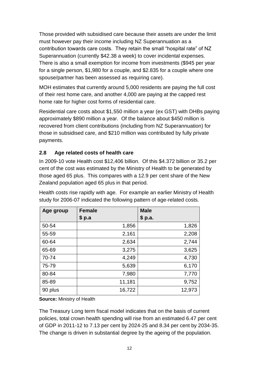Those provided with subsidised care because their assets are under the limit must however pay their income including NZ Superannuation as a contribution towards care costs. They retain the small "hospital rate" of NZ Superannuation (currently \$42.38 a week) to cover incidental expenses. There is also a small exemption for income from investments (\$945 per year for a single person, \$1,980 for a couple, and \$2.835 for a couple where one spouse/partner has been assessed as requiring care).

MOH estimates that currently around 5,000 residents are paying the full cost of their rest home care, and another 4,000 are paying at the capped rest home rate for higher cost forms of residential care.

Residential care costs about \$1,550 million a year (ex GST) with DHBs paying approximately \$890 million a year. Of the balance about \$450 million is recovered from client contributions (including from NZ Superannuation) for those in subsidised care, and \$210 million was contributed by fully private payments.

#### **2.8 Age related costs of health care**

In 2009-10 vote Health cost \$12,406 billion. Of this \$4.372 billion or 35.2 per cent of the cost was estimated by the Ministry of Health to be generated by those aged 65 plus. This compares with a 12.9 per cent share of the New Zealand population aged 65 plus in that period.

| Age group | <b>Female</b> | <b>Male</b> |
|-----------|---------------|-------------|
|           | \$ p.a        | \$ p.a.     |
| 50-54     | 1,856         | 1,826       |
| 55-59     | 2,161         | 2,208       |
| 60-64     | 2,634         | 2,744       |
| 65-69     | 3,275         | 3,625       |
| 70-74     | 4,249         | 4,730       |
| 75-79     | 5,639         | 6,170       |
| 80-84     | 7,980         | 7,770       |
| 85-89     | 11,181        | 9,752       |
| 90 plus   | 16,722        | 12,973      |

Health costs rise rapidly with age. For example an earlier Ministry of Health study for 2006-07 indicated the following pattern of age-related costs.

**Source:** Ministry of Health

The Treasury Long term fiscal model indicates that on the basis of current policies, total crown health spending will rise from an estimated 6.47 per cent of GDP in 2011-12 to 7.13 per cent by 2024-25 and 8.34 per cent by 2034-35. The change is driven in substantial degree by the ageing of the population.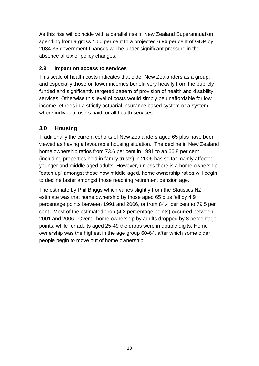As this rise will coincide with a parallel rise in New Zealand Superannuation spending from a gross 4.60 per cent to a projected 6.96 per cent of GDP by 2034-35 government finances will be under significant pressure in the absence of tax or policy changes.

#### **2.9 Impact on access to services**

This scale of health costs indicates that older New Zealanders as a group, and especially those on lower incomes benefit very heavily from the publicly funded and significantly targeted pattern of provision of health and disability services. Otherwise this level of costs would simply be unaffordable for low income retirees in a strictly actuarial insurance based system or a system where individual users paid for all health services.

# **3.0 Housing**

Traditionally the current cohorts of New Zealanders aged 65 plus have been viewed as having a favourable housing situation. The decline in New Zealand home ownership ratios from 73.6 per cent in 1991 to an 66.8 per cent (including properties held in family trusts) in 2006 has so far mainly affected younger and middle aged adults. However, unless there is a home ownership "catch up" amongst those now middle aged, home ownership ratios will begin to decline faster amongst those reaching retirement pension age.

The estimate by Phil Briggs which varies slightly from the Statistics NZ estimate was that home ownership by those aged 65 plus fell by 4.9 percentage points between 1991 and 2006, or from 84.4 per cent to 79.5 per cent. Most of the estimated drop (4.2 percentage points) occurred between 2001 and 2006. Overall home ownership by adults dropped by 8 percentage points, while for adults aged 25-49 the drops were in double digits. Home ownership was the highest in the age group 60-64, after which some older people begin to move out of home ownership.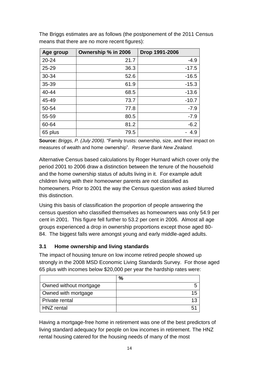| Age group | Ownership % in 2006 | Drop 1991-2006 |
|-----------|---------------------|----------------|
| 20-24     | 21.7                | $-4.9$         |
| $25 - 29$ | 36.3                | $-17.5$        |
| 30-34     | 52.6                | $-16.5$        |
| 35-39     | 61.9                | $-15.3$        |
| 40-44     | 68.5                | $-13.6$        |
| 45-49     | 73.7                | $-10.7$        |
| 50-54     | 77.8                | $-7.9$         |
| 55-59     | 80.5                | $-7.9$         |
| 60-64     | 81.2                | $-6.2$         |
| 65 plus   | 79.5                | 4.9            |

The Briggs estimates are as follows (the postponement of the 2011 Census means that there are no more recent figures):

**Source:** *Briggs, P. (July 2006).* "Family trusts: ownership, size, and their impact on measures of wealth and home ownership". *Reserve Bank New Zealand.*

Alternative Census based calculations by Roger Hurnard which cover only the period 2001 to 2006 draw a distinction between the tenure of the household and the home ownership status of adults living in it. For example adult children living with their homeowner parents are not classified as homeowners. Prior to 2001 the way the Census question was asked blurred this distinction.

Using this basis of classification the proportion of people answering the census question who classified themselves as homeowners was only 54.9 per cent in 2001. This figure fell further to 53.2 per cent in 2006. Almost all age groups experienced a drop in ownership proportions except those aged 80- 84. The biggest falls were amongst young and early middle-aged adults.

#### **3.1 Home ownership and living standards**

The impact of housing tenure on low income retired people showed up strongly in the 2008 MSD Economic Living Standards Survey. For those aged 65 plus with incomes below \$20,000 per year the hardship rates were:

|                        | $\%$ |
|------------------------|------|
| Owned without mortgage |      |
| Owned with mortgage    | 15   |
| Private rental         | 13   |
| HNZ rental             | 51   |

Having a mortgage-free home in retirement was one of the best predictors of living standard adequacy for people on low incomes in retirement. The HNZ rental housing catered for the housing needs of many of the most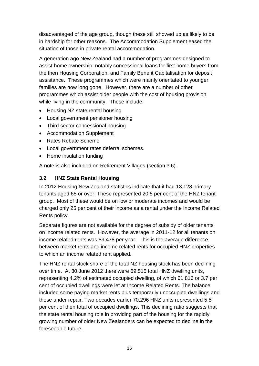disadvantaged of the age group, though these still showed up as likely to be in hardship for other reasons. The Accommodation Supplement eased the situation of those in private rental accommodation.

A generation ago New Zealand had a number of programmes designed to assist home ownership, notably concessional loans for first home buyers from the then Housing Corporation, and Family Benefit Capitalisation for deposit assistance. These programmes which were mainly orientated to younger families are now long gone. However, there are a number of other programmes which assist older people with the cost of housing provision while living in the community. These include:

- Housing NZ state rental housing
- Local government pensioner housing
- Third sector concessional housing
- Accommodation Supplement
- Rates Rebate Scheme
- Local government rates deferral schemes.
- Home insulation funding

A note is also included on Retirement Villages (section 3.6).

#### **3.2 HNZ State Rental Housing**

In 2012 Housing New Zealand statistics indicate that it had 13,128 primary tenants aged 65 or over. These represented 20.5 per cent of the HNZ tenant group. Most of these would be on low or moderate incomes and would be charged only 25 per cent of their income as a rental under the Income Related Rents policy.

Separate figures are not available for the degree of subsidy of older tenants on income related rents. However, the average in 2011-12 for all tenants on income related rents was \$9,478 per year. This is the average difference between market rents and income related rents for occupied HNZ properties to which an income related rent applied.

The HNZ rental stock share of the total NZ housing stock has been declining over time. At 30 June 2012 there were 69,515 total HNZ dwelling units, representing 4.2% of estimated occupied dwelling, of which 61,816 or 3.7 per cent of occupied dwellings were let at Income Related Rents. The balance included some paying market rents plus temporarily unoccupied dwellings and those under repair. Two decades earlier 70,296 HNZ units represented 5.5 per cent of then total of occupied dwellings. This declining ratio suggests that the state rental housing role in providing part of the housing for the rapidly growing number of older New Zealanders can be expected to decline in the foreseeable future.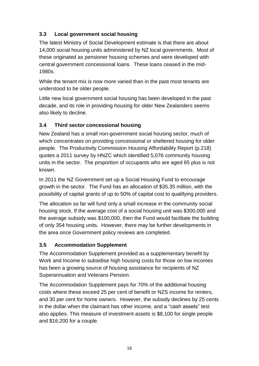# **3.3 Local government social housing**

The latest Ministry of Social Development estimate is that there are about 14,000 social housing units administered by NZ local governments. Most of these originated as pensioner housing schemes and were developed with central government concessional loans. These loans ceased in the mid-1980s.

While the tenant mix is now more varied than in the past most tenants are understood to be older people.

Little new local government social housing has been developed in the past decade, and its role in providing housing for older New Zealanders seems also likely to decline.

# **3.4 Third sector concessional housing**

New Zealand has a small non-government social housing sector, much of which concentrates on providing concessional or sheltered housing for older people. The Productivity Commission Housing Affordability Report (p.218) quotes a 2011 survey by HNZC which identified 5,076 community housing units in the sector. The proportion of occupants who are aged 65 plus is not known.

In 2011 the NZ Government set up a Social Housing Fund to encourage growth in the sector. The Fund has an allocation of \$35.35 million, with the possibility of capital grants of up to 50% of capital cost to qualifying providers.

The allocation so far will fund only a small increase in the community social housing stock. If the average cost of a social housing unit was \$300,000 and the average subsidy was \$100,000, then the Fund would facilitate the building of only 354 housing units. However, there may be further developments in the area once Government policy reviews are completed.

# **3.5 Accommodation Supplement**

The Accommodation Supplement provided as a supplementary benefit by Work and Income to subsidise high housing costs for those on low incomes has been a growing source of housing assistance for recipients of NZ Superannuation and Veterans Pension.

The Accommodation Supplement pays for 70% of the additional housing costs where these exceed 25 per cent of benefit or NZS income for renters, and 30 per cent for home owners. However, the subsidy declines by 25 cents in the dollar when the claimant has other income, and a "cash assets" test also applies. This measure of investment assets is \$8,100 for single people and \$16,200 for a couple.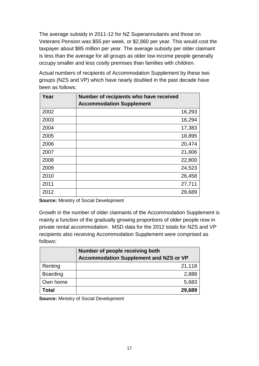The average subsidy in 2011-12 for NZ Superannuitants and those on Veterans Pension was \$55 per week, or \$2,860 per year. This would cost the taxpayer about \$85 million per year. The average subsidy per older claimant is less than the average for all groups as older low income people generally occupy smaller and less costly premises than families with children.

Actual numbers of recipients of Accommodation Supplement by these two groups (NZS and VP) which have nearly doubled in the past decade have been as follows:

| Year | Number of recipients who have received<br><b>Accommodation Supplement</b> |        |
|------|---------------------------------------------------------------------------|--------|
| 2002 |                                                                           | 16,293 |
| 2003 |                                                                           | 16,294 |
| 2004 |                                                                           | 17,383 |
| 2005 |                                                                           | 18,895 |
| 2006 |                                                                           | 20,474 |
| 2007 |                                                                           | 21,606 |
| 2008 |                                                                           | 22,800 |
| 2009 |                                                                           | 24,523 |
| 2010 |                                                                           | 26,458 |
| 2011 |                                                                           | 27,711 |
| 2012 |                                                                           | 29,689 |

**Source:** Ministry of Social Development

Growth in the number of older claimants of the Accommodation Supplement is mainly a function of the gradually growing proportions of older people now in private rental accommodation. MSD data for the 2012 totals for NZS and VP recipients also receiving Accommodation Supplement were comprised as follows:

|                 | Number of people receiving both<br><b>Accommodation Supplement and NZS or VP</b> |
|-----------------|----------------------------------------------------------------------------------|
| Renting         | 21,118                                                                           |
| <b>Boarding</b> | 2,888                                                                            |
| Own home        | 5,683                                                                            |
| Total           | 29,689                                                                           |

**Source:** Ministry of Social Development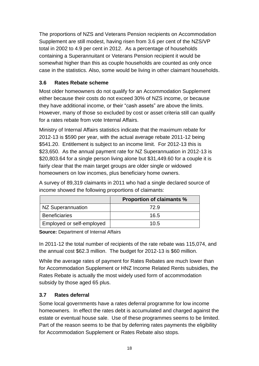The proportions of NZS and Veterans Pension recipients on Accommodation Supplement are still modest, having risen from 3.6 per cent of the NZS/VP total in 2002 to 4.9 per cent in 2012. As a percentage of households containing a Superannuitant or Veterans Pension recipient it would be somewhat higher than this as couple households are counted as only once case in the statistics. Also, some would be living in other claimant households.

## **3.6 Rates Rebate scheme**

Most older homeowners do not qualify for an Accommodation Supplement either because their costs do not exceed 30% of NZS income, or because they have additional income, or their "cash assets" are above the limits. However, many of those so excluded by cost or asset criteria still can qualify for a rates rebate from vote Internal Affairs.

Ministry of Internal Affairs statistics indicate that the maximum rebate for 2012-13 is \$590 per year, with the actual average rebate 2011-12 being \$541.20. Entitlement is subject to an income limit. For 2012-13 this is \$23,650. As the annual payment rate for NZ Superannuation in 2012-13 is \$20,803.64 for a single person living alone but \$31,449.60 for a couple it is fairly clear that the main target groups are older single or widowed homeowners on low incomes, plus beneficiary home owners.

A survey of 89,319 claimants in 2011 who had a single declared source of income showed the following proportions of claimants:

|                           | <b>Proportion of claimants %</b> |
|---------------------------|----------------------------------|
| NZ Superannuation         | 72.9                             |
| <b>Beneficiaries</b>      | 16.5                             |
| Employed or self-employed | 10.5                             |

**Source:** Department of Internal Affairs

In 2011-12 the total number of recipients of the rate rebate was 115,074, and the annual cost \$62.3 million. The budget for 2012-13 is \$60 million.

While the average rates of payment for Rates Rebates are much lower than for Accommodation Supplement or HNZ Income Related Rents subsidies, the Rates Rebate is actually the most widely used form of accommodation subsidy by those aged 65 plus.

# **3.7 Rates deferral**

Some local governments have a rates deferral programme for low income homeowners. In effect the rates debt is accumulated and charged against the estate or eventual house sale. Use of these programmes seems to be limited. Part of the reason seems to be that by deferring rates payments the eligibility for Accommodation Supplement or Rates Rebate also stops.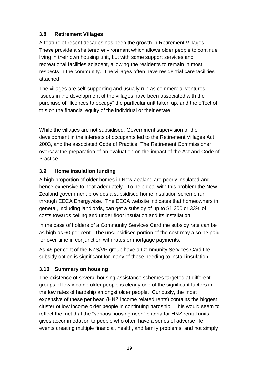## **3.8 Retirement Villages**

A feature of recent decades has been the growth in Retirement Villages. These provide a sheltered environment which allows older people to continue living in their own housing unit, but with some support services and recreational facilities adjacent, allowing the residents to remain in most respects in the community. The villages often have residential care facilities attached.

The villages are self-supporting and usually run as commercial ventures. Issues in the development of the villages have been associated with the purchase of "licences to occupy" the particular unit taken up, and the effect of this on the financial equity of the individual or their estate.

While the villages are not subsidised, Government supervision of the development in the interests of occupants led to the Retirement Villages Act 2003, and the associated Code of Practice. The Retirement Commissioner oversaw the preparation of an evaluation on the impact of the Act and Code of Practice.

## **3.9 Home insulation funding**

A high proportion of older homes in New Zealand are poorly insulated and hence expensive to heat adequately. To help deal with this problem the New Zealand government provides a subsidised home insulation scheme run through EECA Energywise. The EECA website indicates that homeowners in general, including landlords, can get a subsidy of up to \$1,300 or 33% of costs towards ceiling and under floor insulation and its installation.

In the case of holders of a Community Services Card the subsidy rate can be as high as 60 per cent. The unsubsidised portion of the cost may also be paid for over time in conjunction with rates or mortgage payments.

As 45 per cent of the NZS/VP group have a Community Services Card the subsidy option is significant for many of those needing to install insulation.

#### **3.10 Summary on housing**

The existence of several housing assistance schemes targeted at different groups of low income older people is clearly one of the significant factors in the low rates of hardship amongst older people. Curiously, the most expensive of these per head (HNZ income related rents) contains the biggest cluster of low income older people in continuing hardship. This would seem to reflect the fact that the "serious housing need" criteria for HNZ rental units gives accommodation to people who often have a series of adverse life events creating multiple financial, health, and family problems, and not simply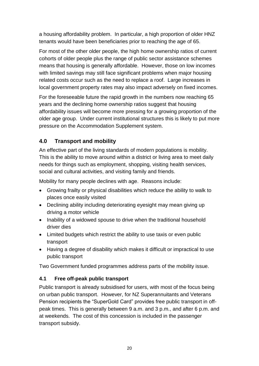a housing affordability problem. In particular, a high proportion of older HNZ tenants would have been beneficiaries prior to reaching the age of 65.

For most of the other older people, the high home ownership ratios of current cohorts of older people plus the range of public sector assistance schemes means that housing is generally affordable. However, those on low incomes with limited savings may still face significant problems when major housing related costs occur such as the need to replace a roof. Large increases in local government property rates may also impact adversely on fixed incomes.

For the foreseeable future the rapid growth in the numbers now reaching 65 years and the declining home ownership ratios suggest that housing affordability issues will become more pressing for a growing proportion of the older age group. Under current institutional structures this is likely to put more pressure on the Accommodation Supplement system.

# **4.0 Transport and mobility**

An effective part of the living standards of modern populations is mobility. This is the ability to move around within a district or living area to meet daily needs for things such as employment, shopping, visiting health services, social and cultural activities, and visiting family and friends.

Mobility for many people declines with age. Reasons include:

- Growing frailty or physical disabilities which reduce the ability to walk to places once easily visited
- Declining ability including deteriorating eyesight may mean giving up driving a motor vehicle
- Inability of a widowed spouse to drive when the traditional household driver dies
- Limited budgets which restrict the ability to use taxis or even public transport
- Having a degree of disability which makes it difficult or impractical to use public transport

Two Government funded programmes address parts of the mobility issue.

#### **4.1 Free off-peak public transport**

Public transport is already subsidised for users, with most of the focus being on urban public transport. However, for NZ Superannuitants and Veterans Pension recipients the "SuperGold Card" provides free public transport in offpeak times. This is generally between 9 a.m. and 3 p.m., and after 6 p.m. and at weekends. The cost of this concession is included in the passenger transport subsidy.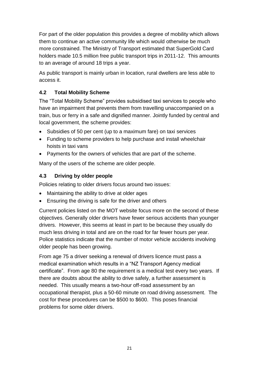For part of the older population this provides a degree of mobility which allows them to continue an active community life which would otherwise be much more constrained. The Ministry of Transport estimated that SuperGold Card holders made 10.5 million free public transport trips in 2011-12. This amounts to an average of around 18 trips a year.

As public transport is mainly urban in location, rural dwellers are less able to access it.

# **4.2 Total Mobility Scheme**

The "Total Mobility Scheme" provides subsidised taxi services to people who have an impairment that prevents them from travelling unaccompanied on a train, bus or ferry in a safe and dignified manner. Jointly funded by central and local government, the scheme provides:

- Subsidies of 50 per cent (up to a maximum fare) on taxi services
- Funding to scheme providers to help purchase and install wheelchair hoists in taxi vans
- Payments for the owners of vehicles that are part of the scheme.

Many of the users of the scheme are older people.

# **4.3 Driving by older people**

Policies relating to older drivers focus around two issues:

- Maintaining the ability to drive at older ages
- Ensuring the driving is safe for the driver and others

Current policies listed on the MOT website focus more on the second of these objectives. Generally older drivers have fewer serious accidents than younger drivers. However, this seems at least in part to be because they usually do much less driving in total and are on the road for far fewer hours per year. Police statistics indicate that the number of motor vehicle accidents involving older people has been growing.

From age 75 a driver seeking a renewal of drivers licence must pass a medical examination which results in a "NZ Transport Agency medical certificate". From age 80 the requirement is a medical test every two years. If there are doubts about the ability to drive safely, a further assessment is needed. This usually means a two-hour off-road assessment by an occupational therapist, plus a 50-60 minute on road driving assessment. The cost for these procedures can be \$500 to \$600. This poses financial problems for some older drivers.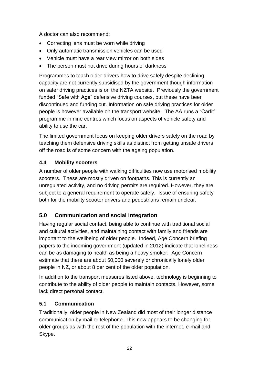A doctor can also recommend:

- Correcting lens must be worn while driving
- Only automatic transmission vehicles can be used
- Vehicle must have a rear view mirror on both sides
- The person must not drive during hours of darkness

Programmes to teach older drivers how to drive safely despite declining capacity are not currently subsidised by the government though information on safer driving practices is on the NZTA website. Previously the government funded "Safe with Age" defensive driving courses, but these have been discontinued and funding cut. Information on safe driving practices for older people is however available on the transport website. The AA runs a "Carfit" programme in nine centres which focus on aspects of vehicle safety and ability to use the car.

The limited government focus on keeping older drivers safely on the road by teaching them defensive driving skills as distinct from getting unsafe drivers off the road is of some concern with the ageing population.

## **4.4 Mobility scooters**

A number of older people with walking difficulties now use motorised mobility scooters. These are mostly driven on footpaths. This is currently an unregulated activity, and no driving permits are required. However, they are subject to a general requirement to operate safely. Issue of ensuring safety both for the mobility scooter drivers and pedestrians remain unclear.

# **5.0 Communication and social integration**

Having regular social contact, being able to continue with traditional social and cultural activities, and maintaining contact with family and friends are important to the wellbeing of older people. Indeed, Age Concern briefing papers to the incoming government (updated in 2012) indicate that loneliness can be as damaging to health as being a heavy smoker. Age Concern estimate that there are about 50,000 severely or chronically lonely older people in NZ, or about 8 per cent of the older population.

In addition to the transport measures listed above, technology is beginning to contribute to the ability of older people to maintain contacts. However, some lack direct personal contact.

# **5.1 Communication**

Traditionally, older people in New Zealand did most of their longer distance communication by mail or telephone. This now appears to be changing for older groups as with the rest of the population with the internet, e-mail and Skype.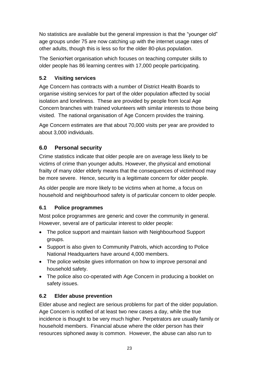No statistics are available but the general impression is that the "younger old" age groups under 75 are now catching up with the internet usage rates of other adults, though this is less so for the older 80-plus population.

The SeniorNet organisation which focuses on teaching computer skills to older people has 86 learning centres with 17,000 people participating.

# **5.2 Visiting services**

Age Concern has contracts with a number of District Health Boards to organise visiting services for part of the older population affected by social isolation and loneliness. These are provided by people from local Age Concern branches with trained volunteers with similar interests to those being visited. The national organisation of Age Concern provides the training.

Age Concern estimates are that about 70,000 visits per year are provided to about 3,000 individuals.

# **6.0 Personal security**

Crime statistics indicate that older people are on average less likely to be victims of crime than younger adults. However, the physical and emotional frailty of many older elderly means that the consequences of victimhood may be more severe. Hence, security is a legitimate concern for older people.

As older people are more likely to be victims when at home, a focus on household and neighbourhood safety is of particular concern to older people.

# **6.1 Police programmes**

Most police programmes are generic and cover the community in general. However, several are of particular interest to older people:

- The police support and maintain liaison with Neighbourhood Support groups.
- Support is also given to Community Patrols, which according to Police National Headquarters have around 4,000 members.
- The police website gives information on how to improve personal and household safety.
- The police also co-operated with Age Concern in producing a booklet on safety issues.

# **6.2 Elder abuse prevention**

Elder abuse and neglect are serious problems for part of the older population. Age Concern is notified of at least two new cases a day, while the true incidence is thought to be very much higher. Perpetrators are usually family or household members. Financial abuse where the older person has their resources siphoned away is common. However, the abuse can also run to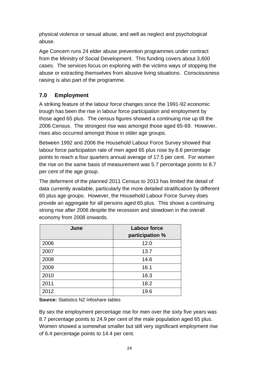physical violence or sexual abuse, and well as neglect and psychological abuse.

Age Concern runs 24 elder abuse prevention programmes under contract from the Ministry of Social Development. This funding covers about 3,600 cases. The services focus on exploring with the victims ways of stopping the abuse or extracting themselves from abusive living situations. Consciousness raising is also part of the programme.

# **7.0 Employment**

A striking feature of the labour force changes since the 1991-92 economic trough has been the rise in labour force participation and employment by those aged 65 plus. The census figures showed a continuing rise up till the 2006 Census. The strongest rise was amongst those aged 65-69. However, rises also occurred amongst those in older age groups.

Between 1992 and 2006 the Household Labour Force Survey showed that labour force participation rate of men aged 65 plus rose by 8.6 percentage points to reach a four quarters annual average of 17.5 per cent. For women the rise on the same basis of measurement was 5.7 percentage points to 8.7 per cent of the age group.

The deferment of the planned 2011 Census to 2013 has limited the detail of data currently available, particularly the more detailed stratification by different 65 plus age groups. However, the Household Labour Force Survey does provide an aggregate for all persons aged 65 plus. This shows a continuing strong rise after 2006 despite the recession and slowdown in the overall economy from 2008 onwards.

| June | <b>Labour force</b><br>participation % |
|------|----------------------------------------|
| 2006 | 12.0                                   |
| 2007 | 13.7                                   |
| 2008 | 14.6                                   |
| 2009 | 16.1                                   |
| 2010 | 16.3                                   |
| 2011 | 18.2                                   |
| 2012 | 19.6                                   |

**Source:** Statistics NZ Infoshare tables

By sex the employment percentage rise for men over the sixty five years was 8.7 percentage points to 24.9 per cent of the male population aged 65 plus. Women showed a somewhat smaller but still very significant employment rise of 6.4 percentage points to 14.4 per cent.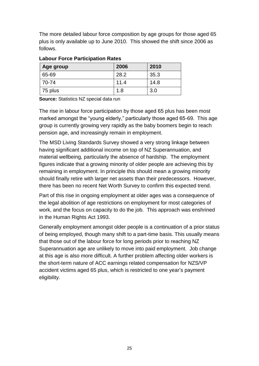The more detailed labour force composition by age groups for those aged 65 plus is only available up to June 2010. This showed the shift since 2006 as follows.

| Age group | 2006 | 2010 |
|-----------|------|------|
| 65-69     | 28.2 | 35.3 |
| 70-74     | 11.4 | 14.8 |
| 75 plus   | 1.8  | 3.0  |

#### **Labour Force Participation Rates**

**Source:** Statistics NZ special data run

The rise in labour force participation by those aged 65 plus has been most marked amongst the "young elderly," particularly those aged 65-69. This age group is currently growing very rapidly as the baby boomers begin to reach pension age, and increasingly remain in employment.

The MSD Living Standards Survey showed a very strong linkage between having significant additional income on top of NZ Superannuation, and material wellbeing, particularly the absence of hardship. The employment figures indicate that a growing minority of older people are achieving this by remaining in employment. In principle this should mean a growing minority should finally retire with larger net assets than their predecessors. However, there has been no recent Net Worth Survey to confirm this expected trend.

Part of this rise in ongoing employment at older ages was a consequence of the legal abolition of age restrictions on employment for most categories of work, and the focus on capacity to do the job. This approach was enshrined in the Human Rights Act 1993.

Generally employment amongst older people is a continuation of a prior status of being employed, though many shift to a part-time basis. This usually means that those out of the labour force for long periods prior to reaching NZ Superannuation age are unlikely to move into paid employment. Job change at this age is also more difficult. A further problem affecting older workers is the short-term nature of ACC earnings related compensation for NZS/VP accident victims aged 65 plus, which is restricted to one year's payment eligibility.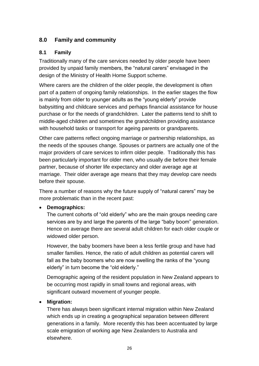# **8.0 Family and community**

#### **8.1 Family**

Traditionally many of the care services needed by older people have been provided by unpaid family members, the "natural carers" envisaged in the design of the Ministry of Health Home Support scheme.

Where carers are the children of the older people, the development is often part of a pattern of ongoing family relationships. In the earlier stages the flow is mainly from older to younger adults as the "young elderly" provide babysitting and childcare services and perhaps financial assistance for house purchase or for the needs of grandchildren. Later the patterns tend to shift to middle-aged children and sometimes the grandchildren providing assistance with household tasks or transport for ageing parents or grandparents.

Other care patterns reflect ongoing marriage or partnership relationships, as the needs of the spouses change. Spouses or partners are actually one of the major providers of care services to infirm older people. Traditionally this has been particularly important for older men, who usually die before their female partner, because of shorter life expectancy and older average age at marriage. Their older average age means that they may develop care needs before their spouse.

There a number of reasons why the future supply of "natural carers" may be more problematic than in the recent past:

#### **Demographics:**

The current cohorts of "old elderly" who are the main groups needing care services are by and large the parents of the large "baby boom" generation. Hence on average there are several adult children for each older couple or widowed older person.

However, the baby boomers have been a less fertile group and have had smaller families. Hence, the ratio of adult children as potential carers will fall as the baby boomers who are now swelling the ranks of the "young elderly" in turn become the "old elderly."

Demographic ageing of the resident population in New Zealand appears to be occurring most rapidly in small towns and regional areas, with significant outward movement of younger people.

#### **Migration:**

There has always been significant internal migration within New Zealand which ends up in creating a geographical separation between different generations in a family. More recently this has been accentuated by large scale emigration of working age New Zealanders to Australia and elsewhere.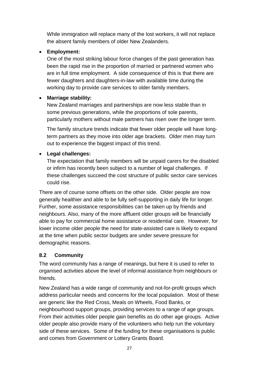While immigration will replace many of the lost workers, it will not replace the absent family members of older New Zealanders.

#### **Employment:**

One of the most striking labour force changes of the past generation has been the rapid rise in the proportion of married or partnered women who are in full time employment. A side consequence of this is that there are fewer daughters and daughters-in-law with available time during the working day to provide care services to older family members.

#### **Marriage stability:**

New Zealand marriages and partnerships are now less stable than in some previous generations, while the proportions of sole parents, particularly mothers without male partners has risen over the longer term.

The family structure trends indicate that fewer older people will have longterm partners as they move into older age brackets. Older men may turn out to experience the biggest impact of this trend.

#### **Legal challenges:**

The expectation that family members will be unpaid carers for the disabled or infirm has recently been subject to a number of legal challenges. If these challenges succeed the cost structure of public sector care services could rise.

There are of course some offsets on the other side. Older people are now generally healthier and able to be fully self-supporting in daily life for longer. Further, some assistance responsibilities can be taken up by friends and neighbours. Also, many of the more affluent older groups will be financially able to pay for commercial home assistance or residential care. However, for lower income older people the need for state-assisted care is likely to expand at the time when public sector budgets are under severe pressure for demographic reasons.

#### **8.2 Community**

The word community has a range of meanings, but here it is used to refer to organised activities above the level of informal assistance from neighbours or friends.

New Zealand has a wide range of community and not-for-profit groups which address particular needs and concerns for the local population. Most of these are generic like the Red Cross, Meals on Wheels, Food Banks, or neighbourhood support groups, providing services to a range of age groups. From their activities older people gain benefits as do other age groups. Active older people also provide many of the volunteers who help run the voluntary side of these services. Some of the funding for these organisations is public and comes from Government or Lottery Grants Board.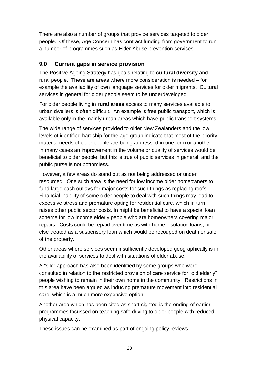There are also a number of groups that provide services targeted to older people. Of these, Age Concern has contract funding from government to run a number of programmes such as Elder Abuse prevention services.

## **9.0 Current gaps in service provision**

The Positive Ageing Strategy has goals relating to **cultural diversity** and rural people. These are areas where more consideration is needed – for example the availability of own language services for older migrants. Cultural services in general for older people seem to be underdeveloped.

For older people living in **rural areas** access to many services available to urban dwellers is often difficult. An example is free public transport, which is available only in the mainly urban areas which have public transport systems.

The wide range of services provided to older New Zealanders and the low levels of identified hardship for the age group indicate that most of the priority material needs of older people are being addressed in one form or another. In many cases an improvement in the volume or quality of services would be beneficial to older people, but this is true of public services in general, and the public purse is not bottomless.

However, a few areas do stand out as not being addressed or under resourced. One such area is the need for low income older homeowners to fund large cash outlays for major costs for such things as replacing roofs. Financial inability of some older people to deal with such things may lead to excessive stress and premature opting for residential care, which in turn raises other public sector costs. In might be beneficial to have a special loan scheme for low income elderly people who are homeowners covering major repairs. Costs could be repaid over time as with home insulation loans, or else treated as a suspensory loan which would be recouped on death or sale of the property.

Other areas where services seem insufficiently developed geographically is in the availability of services to deal with situations of elder abuse.

A "silo" approach has also been identified by some groups who were consulted in relation to the restricted provision of care service for "old elderly" people wishing to remain in their own home in the community. Restrictions in this area have been argued as inducing premature movement into residential care, which is a much more expensive option.

Another area which has been cited as short sighted is the ending of earlier programmes focussed on teaching safe driving to older people with reduced physical capacity.

These issues can be examined as part of ongoing policy reviews.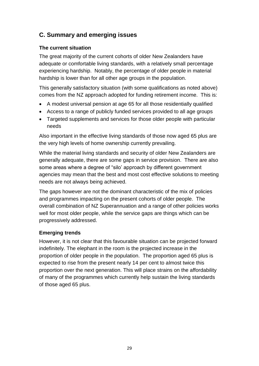# **C. Summary and emerging issues**

#### **The current situation**

The great majority of the current cohorts of older New Zealanders have adequate or comfortable living standards, with a relatively small percentage experiencing hardship. Notably, the percentage of older people in material hardship is lower than for all other age groups in the population.

This generally satisfactory situation (with some qualifications as noted above) comes from the NZ approach adopted for funding retirement income. This is:

- A modest universal pension at age 65 for all those residentially qualified
- Access to a range of publicly funded services provided to all age groups
- Targeted supplements and services for those older people with particular needs

Also important in the effective living standards of those now aged 65 plus are the very high levels of home ownership currently prevailing.

While the material living standards and security of older New Zealanders are generally adequate, there are some gaps in service provision. There are also some areas where a degree of "silo' approach by different government agencies may mean that the best and most cost effective solutions to meeting needs are not always being achieved.

The gaps however are not the dominant characteristic of the mix of policies and programmes impacting on the present cohorts of older people. The overall combination of NZ Superannuation and a range of other policies works well for most older people, while the service gaps are things which can be progressively addressed.

#### **Emerging trends**

However, it is not clear that this favourable situation can be projected forward indefinitely. The elephant in the room is the projected increase in the proportion of older people in the population. The proportion aged 65 plus is expected to rise from the present nearly 14 per cent to almost twice this proportion over the next generation. This will place strains on the affordability of many of the programmes which currently help sustain the living standards of those aged 65 plus.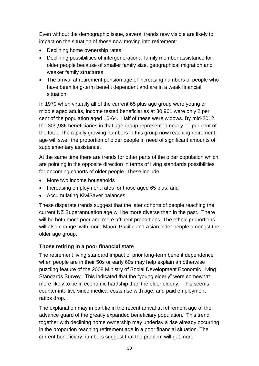Even without the demographic issue, several trends now visible are likely to impact on the situation of those now moving into retirement:

- Declining home ownership rates
- Declining possibilities of intergenerational family member assistance for older people because of smaller family size, geographical migration and weaker family structures
- The arrival at retirement pension age of increasing numbers of people who have been long-term benefit dependent and are in a weak financial situation

In 1970 when virtually all of the current 65 plus age group were young or middle aged adults, income tested beneficiaries at 30,961 were only 2 per cent of the population aged 16-64. Half of these were widows. By mid-2012 the 309,986 beneficiaries in that age group represented nearly 11 per cent of the total. The rapidly growing numbers in this group now reaching retirement age will swell the proportion of older people in need of significant amounts of supplementary assistance.

At the same time there are trends for other parts of the older population which are pointing in the opposite direction in terms of living standards possibilities for oncoming cohorts of older people. These include:

- More two income households
- Increasing employment rates for those aged 65 plus, and
- Accumulating KiwiSaver balances

These disparate trends suggest that the later cohorts of people reaching the current NZ Superannuation age will be more diverse than in the past. There will be both more poor and more affluent proportions. The ethnic proportions will also change, with more Māori, Pacific and Asian older people amongst the older age group.

#### **Those retiring in a poor financial state**

The retirement living standard impact of prior long-term benefit dependence when people are in their 50s or early 60s may help explain an otherwise puzzling feature of the 2008 Ministry of Social Development Economic Living Standards Survey. This indicated that the "young elderly" were somewhat more likely to be in economic hardship than the older elderly. This seems counter intuitive since medical costs rise with age, and paid employment ratios drop.

The explanation may in part lie in the recent arrival at retirement age of the advance guard of the greatly expanded beneficiary population. This trend together with declining home ownership may underlay a rise already occurring in the proportion reaching retirement age in a poor financial situation. The current beneficiary numbers suggest that the problem will get more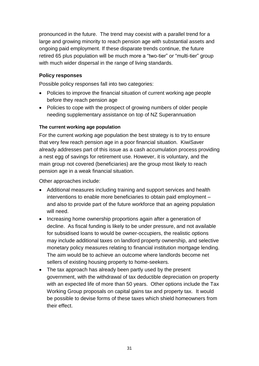pronounced in the future. The trend may coexist with a parallel trend for a large and growing minority to reach pension age with substantial assets and ongoing paid employment. If these disparate trends continue, the future retired 65 plus population will be much more a "two-tier" or "multi-tier" group with much wider dispersal in the range of living standards.

#### **Policy responses**

Possible policy responses fall into two categories:

- Policies to improve the financial situation of current working age people before they reach pension age
- Policies to cope with the prospect of growing numbers of older people needing supplementary assistance on top of NZ Superannuation

#### **The current working age population**

For the current working age population the best strategy is to try to ensure that very few reach pension age in a poor financial situation. KiwiSaver already addresses part of this issue as a cash accumulation process providing a nest egg of savings for retirement use. However, it is voluntary, and the main group not covered (beneficiaries) are the group most likely to reach pension age in a weak financial situation.

Other approaches include:

- Additional measures including training and support services and health interventions to enable more beneficiaries to obtain paid employment – and also to provide part of the future workforce that an ageing population will need.
- Increasing home ownership proportions again after a generation of decline. As fiscal funding is likely to be under pressure, and not available for subsidised loans to would be owner-occupiers, the realistic options may include additional taxes on landlord property ownership, and selective monetary policy measures relating to financial institution mortgage lending. The aim would be to achieve an outcome where landlords become net sellers of existing housing property to home-seekers.
- The tax approach has already been partly used by the present government, with the withdrawal of tax deductible depreciation on property with an expected life of more than 50 years. Other options include the Tax Working Group proposals on capital gains tax and property tax. It would be possible to devise forms of these taxes which shield homeowners from their effect.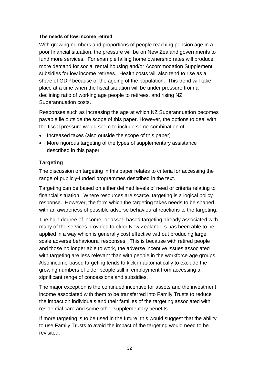#### **The needs of low income retired**

With growing numbers and proportions of people reaching pension age in a poor financial situation, the pressure will be on New Zealand governments to fund more services. For example falling home ownership rates will produce more demand for social rental housing and/or Accommodation Supplement subsidies for low income retirees. Health costs will also tend to rise as a share of GDP because of the ageing of the population. This trend will take place at a time when the fiscal situation will be under pressure from a declining ratio of working age people to retirees, and rising NZ Superannuation costs.

Responses such as increasing the age at which NZ Superannuation becomes payable lie outside the scope of this paper. However, the options to deal with the fiscal pressure would seem to include some combination of:

- Increased taxes (also outside the scope of this paper)
- More rigorous targeting of the types of supplementary assistance described in this paper.

#### **Targeting**

The discussion on targeting in this paper relates to criteria for accessing the range of publicly-funded programmes described in the text.

Targeting can be based on either defined levels of need or criteria relating to financial situation. Where resources are scarce, targeting is a logical policy response. However, the form which the targeting takes needs to be shaped with an awareness of possible adverse behavioural reactions to the targeting.

The high degree of income- or asset- based targeting already associated with many of the services provided to older New Zealanders has been able to be applied in a way which is generally cost effective without producing large scale adverse behavioural responses. This is because with retired people and those no longer able to work, the adverse incentive issues associated with targeting are less relevant than with people in the workforce age groups. Also income-based targeting tends to kick in automatically to exclude the growing numbers of older people still in employment from accessing a significant range of concessions and subsidies.

The major exception is the continued incentive for assets and the investment income associated with them to be transferred into Family Trusts to reduce the impact on individuals and their families of the targeting associated with residential care and some other supplementary benefits.

If more targeting is to be used in the future, this would suggest that the ability to use Family Trusts to avoid the impact of the targeting would need to be revisited.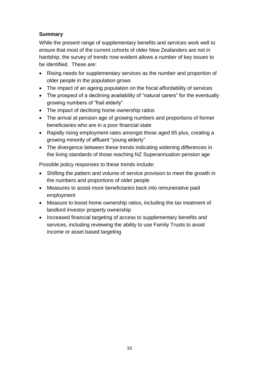#### **Summary**

While the present range of supplementary benefits and services work well to ensure that most of the current cohorts of older New Zealanders are not in hardship, the survey of trends now evident allows a number of key issues to be identified. These are:

- Rising needs for supplementary services as the number and proportion of older people in the population grows
- The impact of an ageing population on the fiscal affordability of services
- The prospect of a declining availability of "natural carers" for the eventually growing numbers of "frail elderly"
- The impact of declining home ownership ratios
- The arrival at pension age of growing numbers and proportions of former beneficiaries who are in a poor financial state
- Rapidly rising employment rates amongst those aged 65 plus, creating a growing minority of affluent "young elderly"
- The divergence between these trends indicating widening differences in the living standards of those reaching NZ Superannuation pension age

Possible policy responses to these trends include:

- Shifting the pattern and volume of service provision to meet the growth in the numbers and proportions of older people
- Measures to assist more beneficiaries back into remunerative paid employment
- Measure to boost home ownership ratios, including the tax treatment of landlord investor property ownership
- Increased financial targeting of access to supplementary benefits and services, including reviewing the ability to use Family Trusts to avoid income or asset based targeting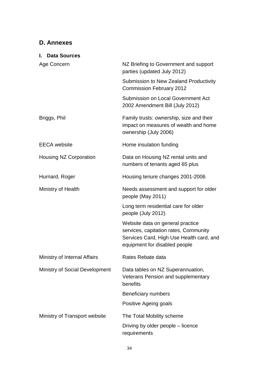# **D. Annexes**

| I. Data Sources                       |                                                                                                                                                        |
|---------------------------------------|--------------------------------------------------------------------------------------------------------------------------------------------------------|
| Age Concern                           | NZ Briefing to Government and support<br>parties (updated July 2012)                                                                                   |
|                                       | Submission to New Zealand Productivity<br><b>Commission February 2012</b>                                                                              |
|                                       | <b>Submission on Local Government Act</b><br>2002 Amendment Bill (July 2012)                                                                           |
| Briggs, Phil                          | Family trusts: ownership, size and their<br>impact on measures of wealth and home<br>ownership (July 2006)                                             |
| <b>EECA</b> website                   | Home insulation funding                                                                                                                                |
| Housing NZ Corporation                | Data on Housing NZ rental units and<br>numbers of tenants aged 65 plus                                                                                 |
| Hurnard, Roger                        | Housing tenure changes 2001-2006                                                                                                                       |
| Ministry of Health                    | Needs assessment and support for older<br>people (May 2011)                                                                                            |
|                                       | Long term residential care for older<br>people (July 2012)                                                                                             |
|                                       | Website data on general practice<br>services, capitation rates, Community<br>Services Card, High Use Health card, and<br>equipment for disabled people |
| Ministry of Internal Affairs          | Rates Rebate data                                                                                                                                      |
| <b>Ministry of Social Development</b> | Data tables on NZ Superannuation,<br>Veterans Pension and supplementary<br>benefits                                                                    |
|                                       | <b>Beneficiary numbers</b>                                                                                                                             |
|                                       | Positive Ageing goals                                                                                                                                  |
| Ministry of Transport website         | The Total Mobility scheme                                                                                                                              |
|                                       | Driving by older people – licence<br>requirements                                                                                                      |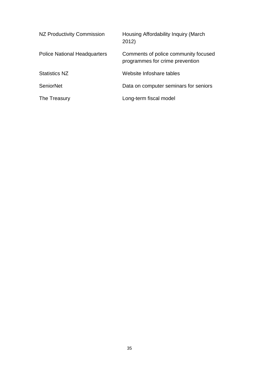| NZ Productivity Commission          | Housing Affordability Inquiry (March)<br>2012)                          |
|-------------------------------------|-------------------------------------------------------------------------|
| <b>Police National Headquarters</b> | Comments of police community focused<br>programmes for crime prevention |
| <b>Statistics NZ</b>                | Website Infoshare tables                                                |
| <b>SeniorNet</b>                    | Data on computer seminars for seniors                                   |
| The Treasury                        | Long-term fiscal model                                                  |